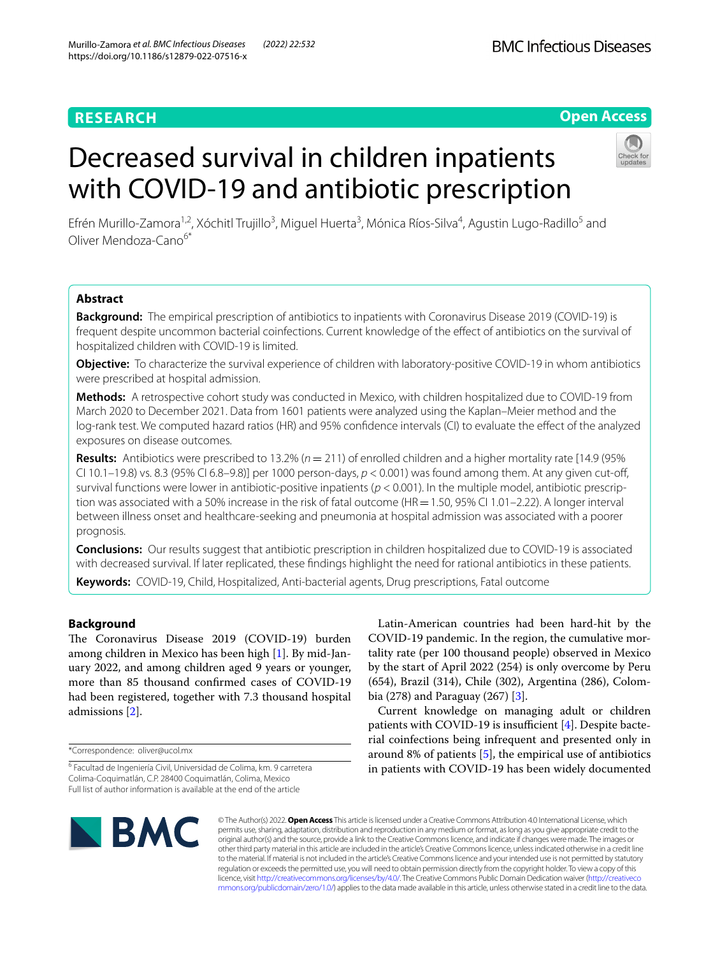### **RESEARCH**

#### **Open Access**

# Decreased survival in children inpatients with COVID-19 and antibiotic prescription

Efrén Murillo-Zamora<sup>1,2</sup>, Xóchitl Trujillo<sup>3</sup>, Miguel Huerta<sup>3</sup>, Mónica Ríos-Silva<sup>4</sup>, Agustin Lugo-Radillo<sup>5</sup> and Oliver Mendoza‑Cano6\*

#### **Abstract**

**Background:** The empirical prescription of antibiotics to inpatients with Coronavirus Disease 2019 (COVID-19) is frequent despite uncommon bacterial coinfections. Current knowledge of the efect of antibiotics on the survival of hospitalized children with COVID-19 is limited.

**Objective:** To characterize the survival experience of children with laboratory-positive COVID-19 in whom antibiotics were prescribed at hospital admission.

**Methods:** A retrospective cohort study was conducted in Mexico, with children hospitalized due to COVID-19 from March 2020 to December 2021. Data from 1601 patients were analyzed using the Kaplan–Meier method and the log-rank test. We computed hazard ratios (HR) and 95% confidence intervals (CI) to evaluate the effect of the analyzed exposures on disease outcomes.

**Results:** Antibiotics were prescribed to 13.2% ( $n = 211$ ) of enrolled children and a higher mortality rate [14.9 (95% CI 10.1–19.8) vs. 8.3 (95% CI 6.8–9.8)] per 1000 person-days,  $p < 0.001$ ) was found among them. At any given cut-off, survival functions were lower in antibiotic-positive inpatients ( $p < 0.001$ ). In the multiple model, antibiotic prescription was associated with a 50% increase in the risk of fatal outcome ( $HR = 1.50$ , 95% CI 1.01–2.22). A longer interval between illness onset and healthcare-seeking and pneumonia at hospital admission was associated with a poorer prognosis.

**Conclusions:** Our results suggest that antibiotic prescription in children hospitalized due to COVID-19 is associated with decreased survival. If later replicated, these fndings highlight the need for rational antibiotics in these patients.

**Keywords:** COVID-19, Child, Hospitalized, Anti-bacterial agents, Drug prescriptions, Fatal outcome

#### **Background**

The Coronavirus Disease 2019 (COVID-19) burden among children in Mexico has been high [[1\]](#page-7-0). By mid-January 2022, and among children aged 9 years or younger, more than 85 thousand confrmed cases of COVID-19 had been registered, together with 7.3 thousand hospital admissions [\[2](#page-7-1)].

\*Correspondence: oliver@ucol.mx

Latin-American countries had been hard-hit by the COVID-19 pandemic. In the region, the cumulative mortality rate (per 100 thousand people) observed in Mexico by the start of April 2022 (254) is only overcome by Peru (654), Brazil (314), Chile (302), Argentina (286), Colombia (278) and Paraguay (267) [\[3](#page-7-2)].

Current knowledge on managing adult or children patients with COVID-19 is insufficient  $[4]$  $[4]$ . Despite bacterial coinfections being infrequent and presented only in around 8% of patients  $[5]$  $[5]$ , the empirical use of antibiotics in patients with COVID-19 has been widely documented



© The Author(s) 2022. **Open Access** This article is licensed under a Creative Commons Attribution 4.0 International License, which permits use, sharing, adaptation, distribution and reproduction in any medium or format, as long as you give appropriate credit to the original author(s) and the source, provide a link to the Creative Commons licence, and indicate if changes were made. The images or other third party material in this article are included in the article's Creative Commons licence, unless indicated otherwise in a credit line to the material. If material is not included in the article's Creative Commons licence and your intended use is not permitted by statutory regulation or exceeds the permitted use, you will need to obtain permission directly from the copyright holder. To view a copy of this licence, visit [http://creativecommons.org/licenses/by/4.0/.](http://creativecommons.org/licenses/by/4.0/) The Creative Commons Public Domain Dedication waiver ([http://creativeco](http://creativecommons.org/publicdomain/zero/1.0/) [mmons.org/publicdomain/zero/1.0/](http://creativecommons.org/publicdomain/zero/1.0/)) applies to the data made available in this article, unless otherwise stated in a credit line to the data.

<sup>&</sup>lt;sup>6</sup> Facultad de Ingeniería Civil, Universidad de Colima, km. 9 carretera Colima‑Coquimatlán, C.P. 28400 Coquimatlán, Colima, Mexico Full list of author information is available at the end of the article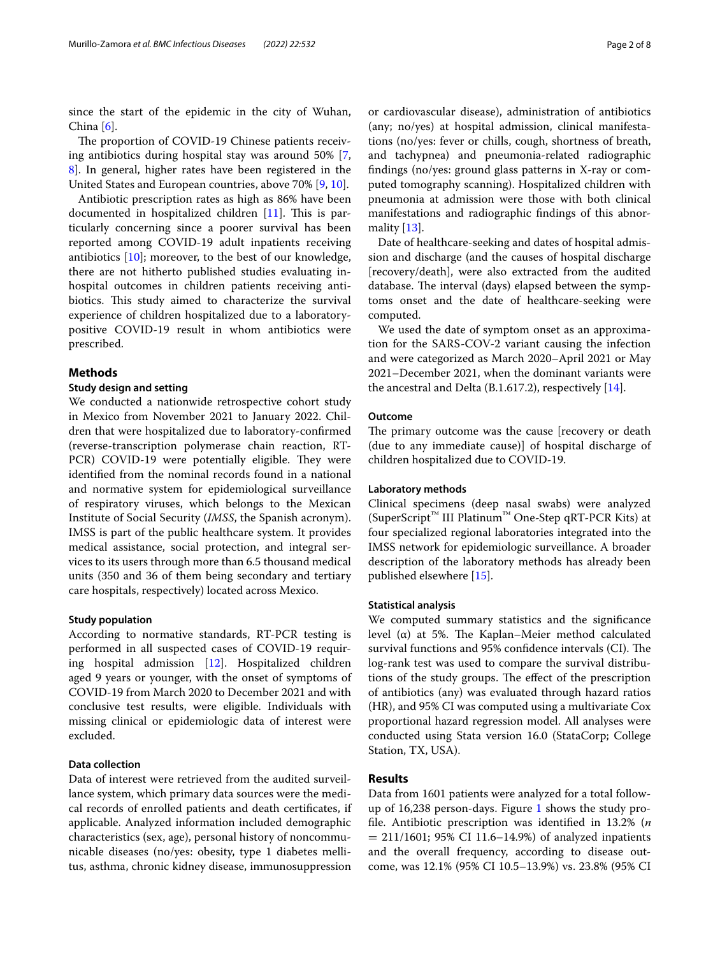since the start of the epidemic in the city of Wuhan, China  $[6]$  $[6]$ .

The proportion of COVID-19 Chinese patients receiving antibiotics during hospital stay was around 50% [\[7](#page-7-6), [8\]](#page-7-7). In general, higher rates have been registered in the United States and European countries, above 70% [\[9](#page-7-8), [10](#page-7-9)].

Antibiotic prescription rates as high as 86% have been documented in hospitalized children  $[11]$  $[11]$ . This is particularly concerning since a poorer survival has been reported among COVID-19 adult inpatients receiving antibiotics [[10\]](#page-7-9); moreover, to the best of our knowledge, there are not hitherto published studies evaluating inhospital outcomes in children patients receiving antibiotics. This study aimed to characterize the survival experience of children hospitalized due to a laboratorypositive COVID-19 result in whom antibiotics were prescribed.

#### **Methods**

#### **Study design and setting**

We conducted a nationwide retrospective cohort study in Mexico from November 2021 to January 2022. Children that were hospitalized due to laboratory-confrmed (reverse-transcription polymerase chain reaction, RT-PCR) COVID-19 were potentially eligible. They were identifed from the nominal records found in a national and normative system for epidemiological surveillance of respiratory viruses, which belongs to the Mexican Institute of Social Security (*IMSS*, the Spanish acronym). IMSS is part of the public healthcare system. It provides medical assistance, social protection, and integral services to its users through more than 6.5 thousand medical units (350 and 36 of them being secondary and tertiary care hospitals, respectively) located across Mexico.

#### **Study population**

According to normative standards, RT-PCR testing is performed in all suspected cases of COVID-19 requiring hospital admission [[12](#page-7-11)]. Hospitalized children aged 9 years or younger, with the onset of symptoms of COVID-19 from March 2020 to December 2021 and with conclusive test results, were eligible. Individuals with missing clinical or epidemiologic data of interest were excluded.

#### **Data collection**

Data of interest were retrieved from the audited surveillance system, which primary data sources were the medical records of enrolled patients and death certifcates, if applicable. Analyzed information included demographic characteristics (sex, age), personal history of noncommunicable diseases (no/yes: obesity, type 1 diabetes mellitus, asthma, chronic kidney disease, immunosuppression

or cardiovascular disease), administration of antibiotics (any; no/yes) at hospital admission, clinical manifestations (no/yes: fever or chills, cough, shortness of breath, and tachypnea) and pneumonia-related radiographic fndings (no/yes: ground glass patterns in X-ray or computed tomography scanning). Hospitalized children with pneumonia at admission were those with both clinical manifestations and radiographic fndings of this abnormality [[13\]](#page-7-12).

Date of healthcare-seeking and dates of hospital admission and discharge (and the causes of hospital discharge [recovery/death], were also extracted from the audited database. The interval (days) elapsed between the symptoms onset and the date of healthcare-seeking were computed.

We used the date of symptom onset as an approximation for the SARS-COV-2 variant causing the infection and were categorized as March 2020–April 2021 or May 2021–December 2021, when the dominant variants were the ancestral and Delta (B.1.617.2), respectively [[14\]](#page-7-13).

#### **Outcome**

The primary outcome was the cause [recovery or death (due to any immediate cause)] of hospital discharge of children hospitalized due to COVID-19.

#### **Laboratory methods**

Clinical specimens (deep nasal swabs) were analyzed (SuperScript™ III Platinum™ One-Step qRT-PCR Kits) at four specialized regional laboratories integrated into the IMSS network for epidemiologic surveillance. A broader description of the laboratory methods has already been published elsewhere [[15\]](#page-7-14).

#### **Statistical analysis**

We computed summary statistics and the signifcance level (α) at 5%. The Kaplan–Meier method calculated survival functions and 95% confidence intervals (CI). The log-rank test was used to compare the survival distributions of the study groups. The effect of the prescription of antibiotics (any) was evaluated through hazard ratios (HR), and 95% CI was computed using a multivariate Cox proportional hazard regression model. All analyses were conducted using Stata version 16.0 (StataCorp; College Station, TX, USA).

#### **Results**

Data from 1601 patients were analyzed for a total followup of 16,238 person-days. Figure [1](#page-2-0) shows the study profle. Antibiotic prescription was identifed in 13.2% (n  $= 211/1601$ ; 95% CI 11.6–14.9%) of analyzed inpatients and the overall frequency, according to disease outcome, was 12.1% (95% CI 10.5–13.9%) vs. 23.8% (95% CI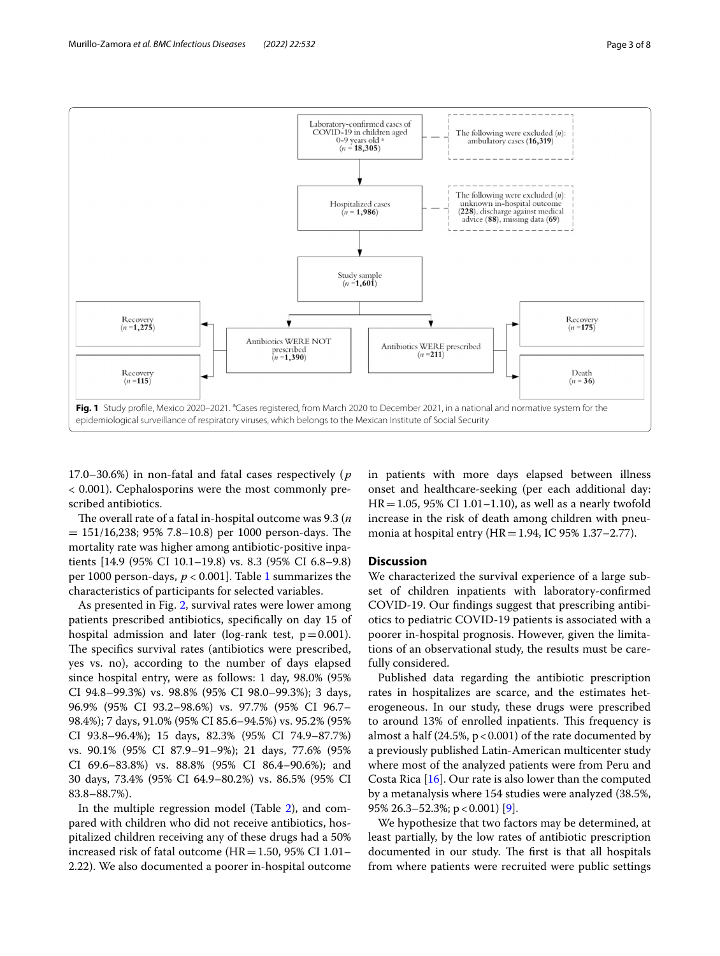

<span id="page-2-0"></span>17.0–30.6%) in non-fatal and fatal cases respectively ( $p$ < 0.001). Cephalosporins were the most commonly prescribed antibiotics.

The overall rate of a fatal in-hospital outcome was 9.3 ( $n$ )  $= 151/16,238; 95% 7.8–10.8$  per 1000 person-days. The mortality rate was higher among antibiotic-positive inpatients [14.9 (95% CI 10.1–19.8) vs. 8.3 (95% CI 6.8–9.8) per 1000 person-days,  $p < 0.001$ . Table [1](#page-3-0) summarizes the characteristics of participants for selected variables.

As presented in Fig. [2,](#page-5-0) survival rates were lower among patients prescribed antibiotics, specifcally on day 15 of hospital admission and later (log-rank test,  $p=0.001$ ). The specifics survival rates (antibiotics were prescribed, yes vs. no), according to the number of days elapsed since hospital entry, were as follows: 1 day, 98.0% (95% CI 94.8–99.3%) vs. 98.8% (95% CI 98.0–99.3%); 3 days, 96.9% (95% CI 93.2–98.6%) vs. 97.7% (95% CI 96.7– 98.4%); 7 days, 91.0% (95% CI 85.6–94.5%) vs. 95.2% (95% CI 93.8–96.4%); 15 days, 82.3% (95% CI 74.9–87.7%) vs. 90.1% (95% CI 87.9–91–9%); 21 days, 77.6% (95% CI 69.6–83.8%) vs. 88.8% (95% CI 86.4–90.6%); and 30 days, 73.4% (95% CI 64.9–80.2%) vs. 86.5% (95% CI 83.8–88.7%).

In the multiple regression model (Table [2](#page-6-0)), and compared with children who did not receive antibiotics, hospitalized children receiving any of these drugs had a 50% increased risk of fatal outcome ( $HR = 1.50$ , 95% CI 1.01– 2.22). We also documented a poorer in-hospital outcome

in patients with more days elapsed between illness onset and healthcare-seeking (per each additional day:  $HR = 1.05$ , 95% CI 1.01–1.10), as well as a nearly twofold increase in the risk of death among children with pneumonia at hospital entry (HR=1.94, IC 95% 1.37–2.77).

#### **Discussion**

We characterized the survival experience of a large subset of children inpatients with laboratory-confrmed COVID-19. Our fndings suggest that prescribing antibiotics to pediatric COVID-19 patients is associated with a poorer in-hospital prognosis. However, given the limitations of an observational study, the results must be carefully considered.

Published data regarding the antibiotic prescription rates in hospitalizes are scarce, and the estimates heterogeneous. In our study, these drugs were prescribed to around 13% of enrolled inpatients. This frequency is almost a half  $(24.5\%, p < 0.001)$  of the rate documented by a previously published Latin-American multicenter study where most of the analyzed patients were from Peru and Costa Rica [[16\]](#page-7-15). Our rate is also lower than the computed by a metanalysis where 154 studies were analyzed (38.5%, 95% 26.3–52.3%;  $p < 0.001$  [[9\]](#page-7-8).

We hypothesize that two factors may be determined, at least partially, by the low rates of antibiotic prescription documented in our study. The first is that all hospitals from where patients were recruited were public settings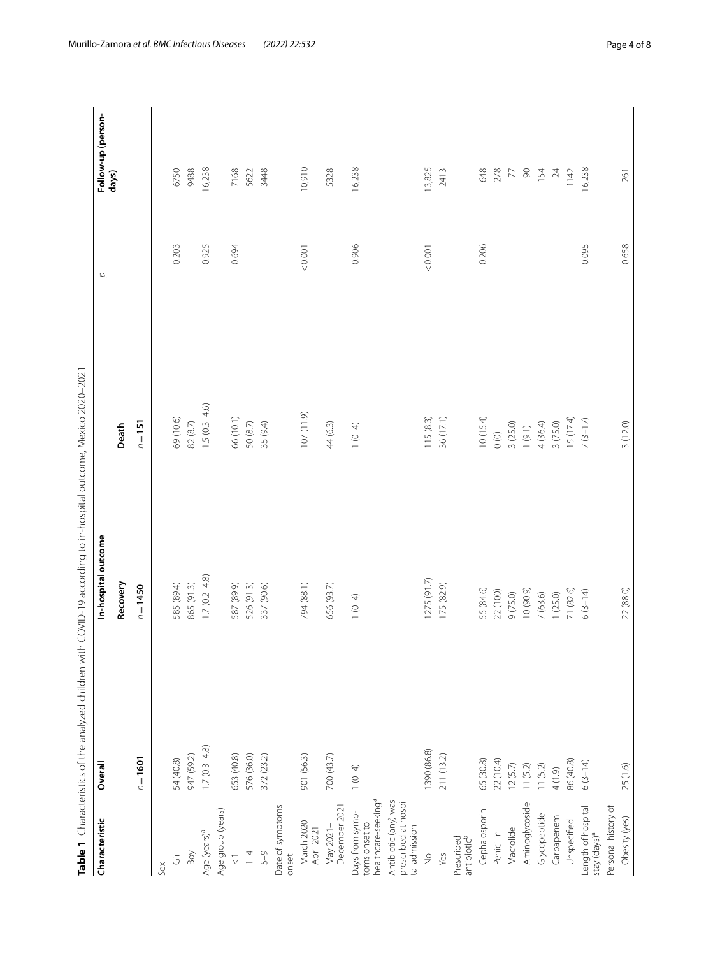<span id="page-3-0"></span>

| ו<br>ג<br>ĺ<br>è<br>C<br>l<br>l |
|---------------------------------|
| .<br>גו<br>i                    |
| j                               |
| j<br>Ï                          |
| )<br>ׇ֚֓֡                       |
| j<br>l                          |
| )<br>)<br>)<br>)<br>I           |
|                                 |
| ١<br>י<br>ļ                     |
|                                 |
| 1<br>;<br>;<br>I<br>J           |
| Table 1<br>Ì                    |

| Characteristic                                                      | Overall        | In-hospital outcome | $\sigma$       |        | Follow-up (person- |
|---------------------------------------------------------------------|----------------|---------------------|----------------|--------|--------------------|
|                                                                     |                | Recovery            | Death          |        | days)              |
|                                                                     | $n = 1601$     | $n = 1450$          | $n = 151$      |        |                    |
| Sex                                                                 |                |                     |                |        |                    |
| $\overline{\overline{G}}$                                           | 54 (40.8)      | 585 (89.4)          | 69 (10.6)      | 0.203  | 6750               |
| Boy                                                                 | 947 (59.2)     | 865 (91.3)          | 82(8.7)        |        | 9488               |
| Age (years) <sup>a</sup>                                            | $1.7(0.3-4.8)$ | $1.7(0.2 - 4.8)$    | $1.5(0.3-4.6)$ | 0.925  | 16,238             |
| Age group (years)                                                   |                |                     |                |        |                    |
| $\frac{1}{\sqrt{2}}$                                                | 553 (40.8)     | 587 (89.9)          | 66 (10.1)      | 0.694  | 7168               |
| $\overline{1}$                                                      | 576 (36.0)     | 526 (91.3)          | 50(8.7)        |        | 5622               |
| $5 - 9$                                                             | 372 (23.2)     | 337 (90.6)          | 35 (9.4)       |        | 3448               |
| Date of symptoms<br>onset                                           |                |                     |                |        |                    |
| March 2020-<br>April 2021                                           | 901 (56.3)     | 794 (88.1)          | 107(11.9)      | &0.001 | 10,910             |
| December 2021<br>May 2021-                                          | 700 (43.7)     | 656 (93.7)          | 44 (6.3)       |        | 5328               |
| healthcare-seeking <sup>a</sup><br>Days from symp-<br>toms onset to | $1(0-4)$       | $1(0-4)$            | $1(0-4)$       | 0.906  | 16,238             |
| Antibiotic (any) was<br>prescribed at hospi-<br>tal admission       |                |                     |                |        |                    |
| $\frac{1}{2}$                                                       | 390 (86.8)     | 1275(91.7)          | 115(8.3)       | &0.001 | 13,825             |
| Yes                                                                 | 211 (13.2)     | 175 (82.9)          | 36 (17.1)      |        | 2413               |
| Prescribed<br>antibiotic <sup>b</sup>                               |                |                     |                |        |                    |
| Cephalosporin                                                       | 65 (30.8)      | 55 (84.6)           | 10(15.4)       | 0.206  | 648                |
| Penicillin                                                          | 22 (10.4)      | 22 (100)            | $\circ$        |        | 278                |
| Macrolide                                                           | 12(5.7)        | 9(75.0)             | 3(25.0)        |        | $\overline{z}$     |
| Aminoglycoside                                                      | 11(5.2)        | 10 (90.9)           | (9.1)          |        | $\infty$           |
| Glycopeptide                                                        | 11(5.2)        | 7 (63.6)            | 4 (36.4)       |        | 154                |
| Carbapenem                                                          | $(6.1)$ 4      | 1(25.0)             | 3(75.0)        |        | $\overline{24}$    |
| Unspecified                                                         | 86 (40.8)      | 71 (82.6)           | 15(17.4)       |        | 1142               |
| Length of hospital<br>stay (days) <sup>a</sup>                      | $6(3-14)$      | $6(3-14)$           | $7(3-17)$      | 0.095  | 16,238             |
| Personal history of                                                 |                |                     |                |        |                    |
| Obesity (yes)                                                       | 25 (1.6)       | 22 (88.0)           | 3(12.0)        | 0.658  | 261                |
|                                                                     |                |                     |                |        |                    |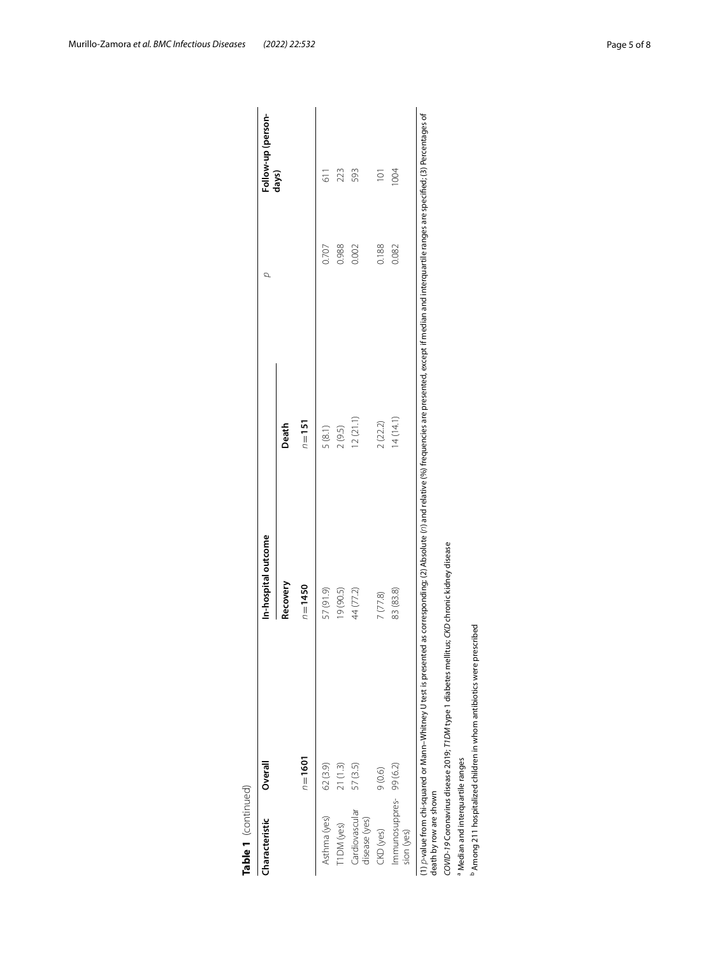| Table 1 (continued)                  |                                                                                              |                     |                                                                                                                                                                                                                             |       |                    |
|--------------------------------------|----------------------------------------------------------------------------------------------|---------------------|-----------------------------------------------------------------------------------------------------------------------------------------------------------------------------------------------------------------------------|-------|--------------------|
| Characteristic                       | Overall                                                                                      | In-hospital outcome |                                                                                                                                                                                                                             | d     | Follow-up (person- |
|                                      |                                                                                              | Recovery            | Death                                                                                                                                                                                                                       |       | days)              |
|                                      | $n = 1601$                                                                                   | $n = 1450$          | $n = 151$                                                                                                                                                                                                                   |       |                    |
| Asthma (yes)                         | 62 (3.9)                                                                                     | 57 (91.9)           | 5(8.1)                                                                                                                                                                                                                      | 0.707 | $\frac{1}{6}$      |
| T1DM (yes)                           | 21(1.3)                                                                                      | 19 (90.5)           | 2(9.5)                                                                                                                                                                                                                      | 0.988 | 223                |
| Cardiovascular<br>disease (yes)      | 57 (3.5)                                                                                     | 44 (77.2)           | 12(21.1)                                                                                                                                                                                                                    | 0.002 | 593                |
| CKD (yes)                            | 9(0.6)                                                                                       | 7(77.8)             | 2(22.2)                                                                                                                                                                                                                     | 0.188 | $\overline{101}$   |
| Immunosuppres-99 (6.2)<br>sion (yes) |                                                                                              | 83 (83.8)           | 14(14.1)                                                                                                                                                                                                                    | 0.082 | <b>NOO</b>         |
| death by row are shown               |                                                                                              |                     | (1) D-value from chi-squared or Mann-Whitney U test is presented as corresponding; (2) Absolute (n) and relative (%) frequencies are presented, except if median and interquartile ranges are specified; (3) Percentages of |       |                    |
|                                      | COVID-19 Coronavirus disease 2019; T1DM type 1 diabetes mellitus; CKD chronic kidney disease |                     |                                                                                                                                                                                                                             |       |                    |
| Median and interquartile ranges      |                                                                                              |                     |                                                                                                                                                                                                                             |       |                    |
|                                      | <sup>b</sup> Among 211 hospitalized children in whom antibiotics were prescribed             |                     |                                                                                                                                                                                                                             |       |                    |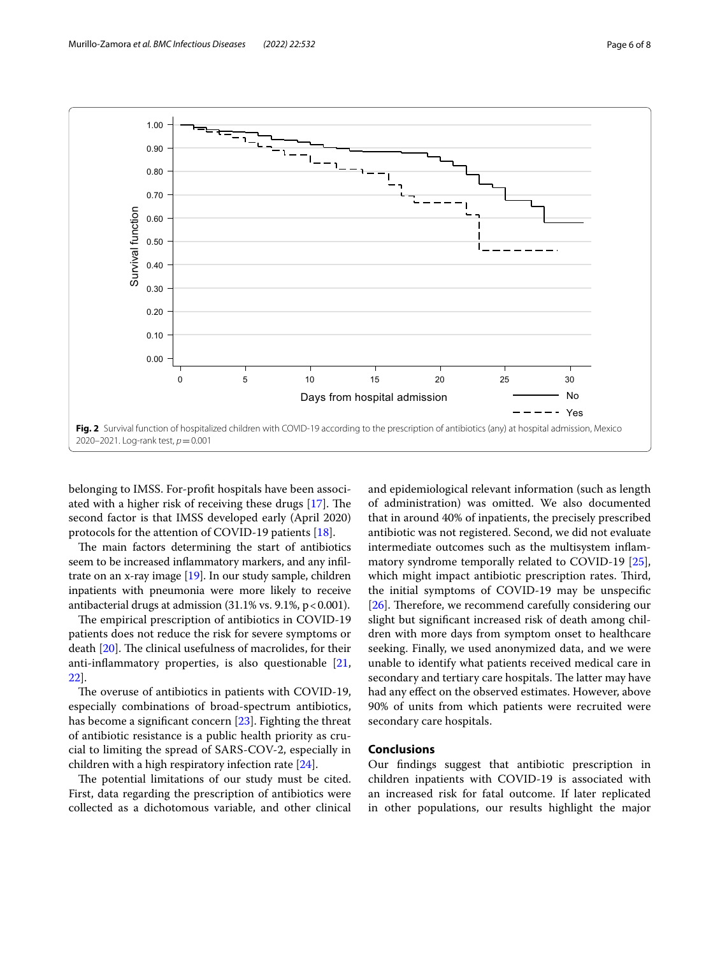

<span id="page-5-0"></span>belonging to IMSS. For-proft hospitals have been associated with a higher risk of receiving these drugs  $[17]$ . The second factor is that IMSS developed early (April 2020) protocols for the attention of COVID-19 patients [\[18](#page-7-17)].

The main factors determining the start of antibiotics seem to be increased infammatory markers, and any infltrate on an x-ray image [[19](#page-7-18)]. In our study sample, children inpatients with pneumonia were more likely to receive antibacterial drugs at admission  $(31.1\% \text{ vs. } 9.1\%, \text{ p} < 0.001).$ 

The empirical prescription of antibiotics in COVID-19 patients does not reduce the risk for severe symptoms or death  $[20]$ . The clinical usefulness of macrolides, for their anti-infammatory properties, is also questionable [\[21](#page-7-20), [22\]](#page-7-21).

The overuse of antibiotics in patients with COVID-19, especially combinations of broad-spectrum antibiotics, has become a signifcant concern [\[23\]](#page-7-22). Fighting the threat of antibiotic resistance is a public health priority as crucial to limiting the spread of SARS-COV-2, especially in children with a high respiratory infection rate [\[24\]](#page-7-23).

The potential limitations of our study must be cited. First, data regarding the prescription of antibiotics were collected as a dichotomous variable, and other clinical and epidemiological relevant information (such as length of administration) was omitted. We also documented that in around 40% of inpatients, the precisely prescribed antibiotic was not registered. Second, we did not evaluate intermediate outcomes such as the multisystem infammatory syndrome temporally related to COVID-19 [\[25](#page-7-24)], which might impact antibiotic prescription rates. Third, the initial symptoms of COVID-19 may be unspecifc [[26\]](#page-7-25). Therefore, we recommend carefully considering our slight but signifcant increased risk of death among children with more days from symptom onset to healthcare seeking. Finally, we used anonymized data, and we were unable to identify what patients received medical care in secondary and tertiary care hospitals. The latter may have had any efect on the observed estimates. However, above 90% of units from which patients were recruited were secondary care hospitals.

#### **Conclusions**

Our fndings suggest that antibiotic prescription in children inpatients with COVID-19 is associated with an increased risk for fatal outcome. If later replicated in other populations, our results highlight the major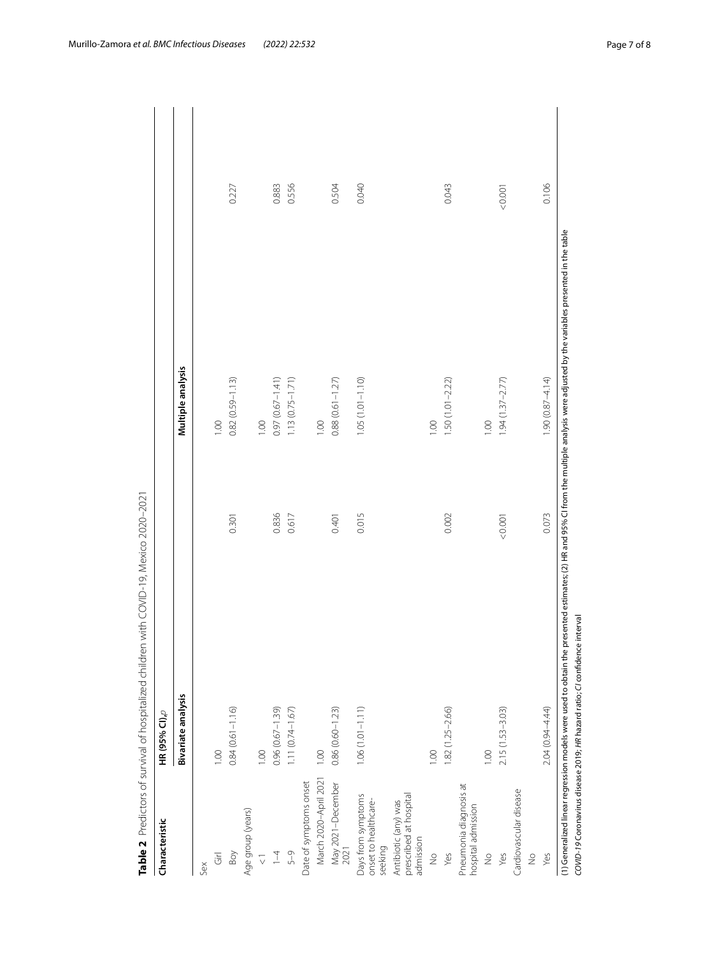| Characteristic                                              | HR (95% CI),p                |       |                     |       |
|-------------------------------------------------------------|------------------------------|-------|---------------------|-------|
|                                                             | Bivariate analysis           |       | Multiple analysis   |       |
| Sex                                                         |                              |       |                     |       |
| $\overline{G}$                                              | 001                          |       | 1.00                |       |
| Boy                                                         | $0.84(0.61 - 1.16)$          | 0.301 | $0.82(0.59 - 1.13)$ | 0.227 |
| Age group (years)                                           |                              |       |                     |       |
| $\overline{\vee}$                                           | 00.1                         |       | 1.00                |       |
| $\overline{1}$                                              | $0.96(0.67 - 1.39)$          | 0.836 | $0.97(0.67 - 1.41)$ | 0.883 |
| 5-9                                                         | $1.11(0.74 - 1.67)$          | 0.617 | $1.13(0.75 - 1.71)$ | 0.556 |
| Date of symptoms onset                                      |                              |       |                     |       |
| March 2020-April 2021                                       | 1.00                         |       | 1.00                |       |
| May 2021-December<br>2021                                   | $0.86(0.60 - 1.23)$          | 0.401 | $0.88(0.61 - 1.27)$ | 0.504 |
| Days from symptoms<br>onset to healthcare-<br>seeking       | $1.06(1.01 - 1.11)$          | 0.015 | $1.05(1.01 - 1.10)$ | 0.040 |
| prescribed at hospital<br>Antibiotic (any) was<br>admission |                              |       |                     |       |
| $\frac{1}{2}$                                               | 001                          |       | 1.00                |       |
| Yes                                                         | 1.82 (1.25-2.66)             | 0.002 | $1.50(1.01 - 2.22)$ | 0.043 |
| Pneumonia diagnosis at<br>hospital admission                |                              |       |                     |       |
| $\frac{1}{2}$                                               | 001                          |       | 00.1                |       |
| Yes                                                         | 0.001<br>$2.15(1.53 - 3.03)$ |       | $1.94(1.37 - 2.77)$ | 0.001 |
| Cardiovascular disease                                      |                              |       |                     |       |
| $\frac{1}{2}$                                               |                              |       |                     |       |
| Yes                                                         | 2.04 (0.94-4.44)             | 0.073 | $1.90(0.87 - 4.14)$ | 0.106 |

<span id="page-6-0"></span>

Murillo‑Zamora *et al. BMC Infectious Diseases (2022) 22:532* Page 7 of 8